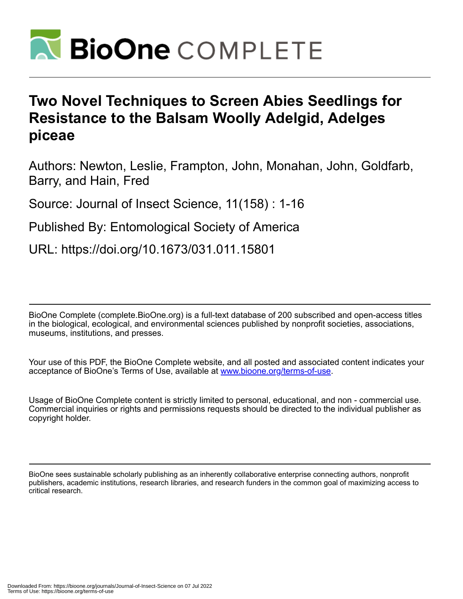

# **Two Novel Techniques to Screen Abies Seedlings for Resistance to the Balsam Woolly Adelgid, Adelges piceae**

Authors: Newton, Leslie, Frampton, John, Monahan, John, Goldfarb, Barry, and Hain, Fred

Source: Journal of Insect Science, 11(158) : 1-16

Published By: Entomological Society of America

URL: https://doi.org/10.1673/031.011.15801

BioOne Complete (complete.BioOne.org) is a full-text database of 200 subscribed and open-access titles in the biological, ecological, and environmental sciences published by nonprofit societies, associations, museums, institutions, and presses.

Your use of this PDF, the BioOne Complete website, and all posted and associated content indicates your acceptance of BioOne's Terms of Use, available at www.bioone.org/terms-of-use.

Usage of BioOne Complete content is strictly limited to personal, educational, and non - commercial use. Commercial inquiries or rights and permissions requests should be directed to the individual publisher as copyright holder.

BioOne sees sustainable scholarly publishing as an inherently collaborative enterprise connecting authors, nonprofit publishers, academic institutions, research libraries, and research funders in the common goal of maximizing access to critical research.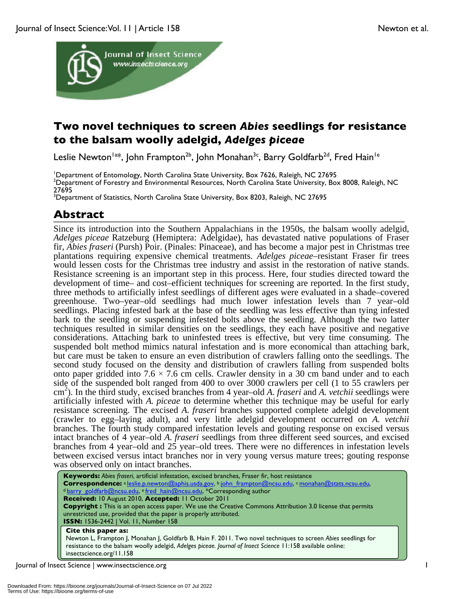

## **Two novel techniques to screen** *Abies* **seedlings for resistance to the balsam woolly adelgid,** *Adelges piceae*

Leslie Newton<sup>la\*</sup>, John Frampton<sup>2b</sup>, John Monahan<sup>3c</sup>, Barry Goldfarb<sup>2d</sup>, Fred Hain<sup>1e</sup>

<sup>1</sup>Department of Entomology, North Carolina State University, Box 7626, Raleigh, NC 27695<br><sup>2</sup>Department of Eorestry and Environmental Resources, North Carolina State University, Re <sup>2</sup>Department of Forestry and Environmental Resources, North Carolina State University, Box 8008, Raleigh, NC 27695

<sup>3</sup>Department of Statistics, North Carolina State University, Box 8203, Raleigh, NC 27695

## **Abstract**

Since its introduction into the Southern Appalachians in the 1950s, the balsam woolly adelgid, *Adelges piceae* Ratzeburg (Hemiptera: Adelgidae), has devastated native populations of Fraser fir, *Abies fraseri* (Pursh) Poir. (Pinales: Pinaceae), and has become a major pest in Christmas tree plantations requiring expensive chemical treatments. *Adelges piceae*–resistant Fraser fir trees would lessen costs for the Christmas tree industry and assist in the restoration of native stands. Resistance screening is an important step in this process. Here, four studies directed toward the development of time– and cost–efficient techniques for screening are reported. In the first study, three methods to artificially infest seedlings of different ages were evaluated in a shade–covered greenhouse. Two–year–old seedlings had much lower infestation levels than 7 year–old seedlings. Placing infested bark at the base of the seedling was less effective than tying infested bark to the seedling or suspending infested bolts above the seedling. Although the two latter techniques resulted in similar densities on the seedlings, they each have positive and negative considerations. Attaching bark to uninfested trees is effective, but very time consuming. The suspended bolt method mimics natural infestation and is more economical than attaching bark, but care must be taken to ensure an even distribution of crawlers falling onto the seedlings. The second study focused on the density and distribution of crawlers falling from suspended bolts onto paper gridded into  $7.6 \times 7.6$  cm cells. Crawler density in a 30 cm band under and to each side of the suspended bolt ranged from 400 to over 3000 crawlers per cell (1 to 55 crawlers per cm 2 ). In the third study, excised branches from 4 year–old *A. fraseri* and *A. vetchii* seedlings were artificially infested with *A. piceae* to determine whether this technique may be useful for early resistance screening. The excised *A. fraseri* branches supported complete adelgid development (crawler to egg–laying adult), and very little adelgid development occurred on *A. vetchii* branches. The fourth study compared infestation levels and gouting response on excised versus intact branches of 4 year–old *A. fraseri* seedlings from three different seed sources, and excised branches from 4 year–old and 25 year–old trees. There were no differences in infestation levels between excised versus intact branches nor in very young versus mature trees; gouting response was observed only on intact branches.

**Keywords:** *Abies fraseri*, artificial infestation, excised branches, Fraser fir, host resistance **Correspondence:** <sup>a</sup> leslie.p.newton@aphis.usda.gov, <sup>b</sup> john\_frampton@ncsu.edu, <sup>c</sup> monahan@stats.ncsu.edu, <sup>d</sup> barry\_goldfarb@ncsu.edu, e fred\_hain@ncsu.edu, \*Corresponding author **Received:** 10 August 2010, **Accepted:** 11 October 2011 **Copyright :** This is an open access paper. We use the Creative Commons Attribution 3.0 license that permits unrestricted use, provided that the paper is properly attributed. **ISSN:** 1536-2442 | Vol. 11, Number 158 **Cite this paper as:** Newton L, Frampton J, Monahan J, Goldfarb B, Hain F. 2011. Two novel techniques to screen *Abies* seedlings for resistance to the balsam woolly adelgid, *Adelges piceae. Journal of Insect Science* 11:158 available online:

Journal of Insect Science | www.insectscience.org 1

insectscience.org/11.158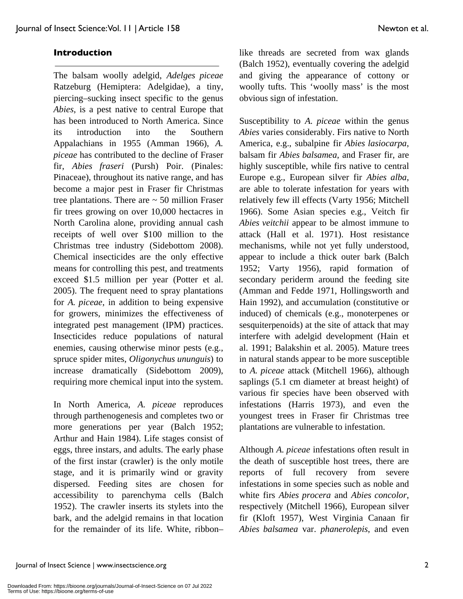### **Introduction**

The balsam woolly adelgid, *Adelges piceae* Ratzeburg (Hemiptera: Adelgidae), a tiny, piercing–sucking insect specific to the genus *Abies*, is a pest native to central Europe that has been introduced to North America. Since its introduction into the Southern Appalachians in 1955 (Amman 1966), *A. piceae* has contributed to the decline of Fraser fir, *Abies fraseri* (Pursh) Poir. (Pinales: Pinaceae), throughout its native range, and has become a major pest in Fraser fir Christmas tree plantations. There are  $\sim$  50 million Fraser fir trees growing on over 10,000 hectacres in North Carolina alone, providing annual cash receipts of well over \$100 million to the Christmas tree industry (Sidebottom 2008). Chemical insecticides are the only effective means for controlling this pest, and treatments exceed \$1.5 million per year (Potter et al. 2005). The frequent need to spray plantations for *A. piceae*, in addition to being expensive for growers, minimizes the effectiveness of integrated pest management (IPM) practices. Insecticides reduce populations of natural enemies, causing otherwise minor pests (e.g., spruce spider mites, *Oligonychus ununguis*) to increase dramatically (Sidebottom 2009), requiring more chemical input into the system.

In North America, *A. piceae* reproduces through parthenogenesis and completes two or more generations per year (Balch 1952; Arthur and Hain 1984). Life stages consist of eggs, three instars, and adults. The early phase of the first instar (crawler) is the only motile stage, and it is primarily wind or gravity dispersed. Feeding sites are chosen for accessibility to parenchyma cells (Balch 1952). The crawler inserts its stylets into the bark, and the adelgid remains in that location for the remainder of its life. White, ribbon– like threads are secreted from wax glands (Balch 1952), eventually covering the adelgid and giving the appearance of cottony or woolly tufts. This 'woolly mass' is the most obvious sign of infestation.

Susceptibility to *A. piceae* within the genus *Abies* varies considerably. Firs native to North America, e.g., subalpine fir *Abies lasiocarpa*, balsam fir *Abies balsamea*, and Fraser fir, are highly susceptible, while firs native to central Europe e.g., European silver fir *Abies alba*, are able to tolerate infestation for years with relatively few ill effects (Varty 1956; Mitchell 1966). Some Asian species e.g., Veitch fir *Abies veitchii* appear to be almost immune to attack (Hall et al. 1971). Host resistance mechanisms, while not yet fully understood, appear to include a thick outer bark (Balch 1952; Varty 1956), rapid formation of secondary periderm around the feeding site (Amman and Fedde 1971, Hollingsworth and Hain 1992), and accumulation (constitutive or induced) of chemicals (e.g., monoterpenes or sesquiterpenoids) at the site of attack that may interfere with adelgid development (Hain et al. 1991; Balakshin et al. 2005). Mature trees in natural stands appear to be more susceptible to *A. piceae* attack (Mitchell 1966), although saplings (5.1 cm diameter at breast height) of various fir species have been observed with infestations (Harris 1973), and even the youngest trees in Fraser fir Christmas tree plantations are vulnerable to infestation.

Although *A. piceae* infestations often result in the death of susceptible host trees, there are reports of full recovery from severe infestations in some species such as noble and white firs *Abies procera* and *Abies concolor*, respectively (Mitchell 1966), European silver fir (Kloft 1957), West Virginia Canaan fir *Abies balsamea* var. *phanerolepis*, and even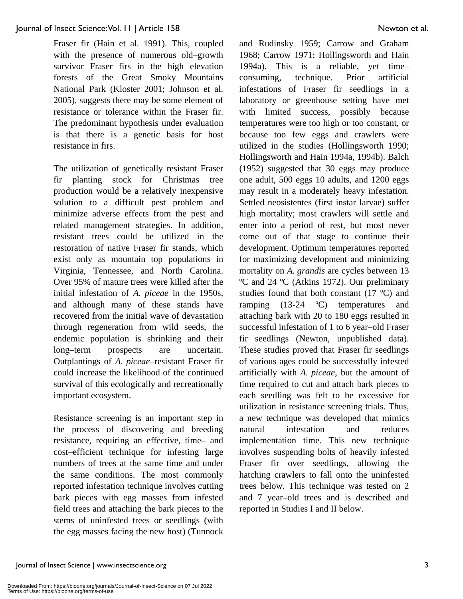Fraser fir (Hain et al. 1991). This, coupled with the presence of numerous old–growth survivor Fraser firs in the high elevation forests of the Great Smoky Mountains National Park (Kloster 2001; Johnson et al. 2005), suggests there may be some element of resistance or tolerance within the Fraser fir. The predominant hypothesis under evaluation is that there is a genetic basis for host resistance in firs.

The utilization of genetically resistant Fraser fir planting stock for Christmas tree production would be a relatively inexpensive solution to a difficult pest problem and minimize adverse effects from the pest and related management strategies. In addition, resistant trees could be utilized in the restoration of native Fraser fir stands, which exist only as mountain top populations in Virginia, Tennessee, and North Carolina. Over 95% of mature trees were killed after the initial infestation of *A. piceae* in the 1950s, and although many of these stands have recovered from the initial wave of devastation through regeneration from wild seeds, the endemic population is shrinking and their long–term prospects are uncertain. Outplantings of *A. piceae*–resistant Fraser fir could increase the likelihood of the continued survival of this ecologically and recreationally important ecosystem.

Resistance screening is an important step in the process of discovering and breeding resistance, requiring an effective, time– and cost–efficient technique for infesting large numbers of trees at the same time and under the same conditions. The most commonly reported infestation technique involves cutting bark pieces with egg masses from infested field trees and attaching the bark pieces to the stems of uninfested trees or seedlings (with the egg masses facing the new host) (Tunnock and Rudinsky 1959; Carrow and Graham 1968; Carrow 1971; Hollingsworth and Hain 1994a). This is a reliable, yet time– consuming, technique. Prior artificial infestations of Fraser fir seedlings in a laboratory or greenhouse setting have met with limited success, possibly because temperatures were too high or too constant, or because too few eggs and crawlers were utilized in the studies (Hollingsworth 1990; Hollingsworth and Hain 1994a, 1994b). Balch (1952) suggested that 30 eggs may produce one adult, 500 eggs 10 adults, and 1200 eggs may result in a moderately heavy infestation. Settled neosistentes (first instar larvae) suffer high mortality; most crawlers will settle and enter into a period of rest, but most never come out of that stage to continue their development. Optimum temperatures reported for maximizing development and minimizing mortality on *A. grandis* are cycles between 13 ºC and 24 ºC (Atkins 1972). Our preliminary studies found that both constant (17 ºC) and ramping (13-24 ºC) temperatures and attaching bark with 20 to 180 eggs resulted in successful infestation of 1 to 6 year–old Fraser fir seedlings (Newton, unpublished data). These studies proved that Fraser fir seedlings of various ages could be successfully infested artificially with *A. piceae*, but the amount of time required to cut and attach bark pieces to each seedling was felt to be excessive for utilization in resistance screening trials. Thus, a new technique was developed that mimics natural infestation and reduces implementation time. This new technique involves suspending bolts of heavily infested Fraser fir over seedlings, allowing the hatching crawlers to fall onto the uninfested trees below. This technique was tested on 2 and 7 year–old trees and is described and reported in Studies I and II below.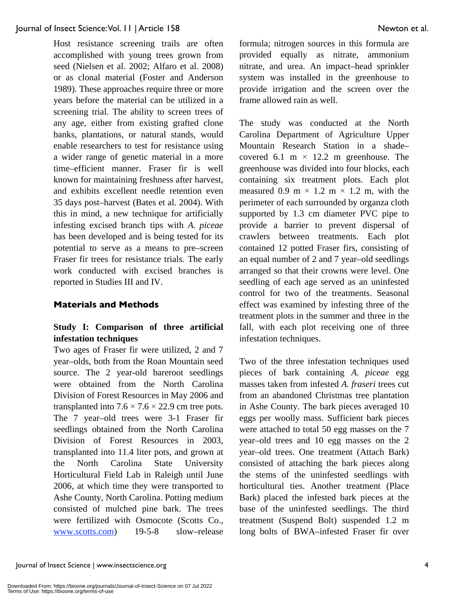Host resistance screening trails are often accomplished with young trees grown from seed (Nielsen et al. 2002; Alfaro et al. 2008) or as clonal material (Foster and Anderson 1989). These approaches require three or more years before the material can be utilized in a screening trial. The ability to screen trees of any age, either from existing grafted clone banks, plantations, or natural stands, would enable researchers to test for resistance using a wider range of genetic material in a more time–efficient manner. Fraser fir is well known for maintaining freshness after harvest, and exhibits excellent needle retention even 35 days post–harvest (Bates et al. 2004). With this in mind, a new technique for artificially infesting excised branch tips with *A. piceae* has been developed and is being tested for its potential to serve as a means to pre–screen Fraser fir trees for resistance trials. The early work conducted with excised branches is reported in Studies III and IV.

### **Materials and Methods**

## **Study I: Comparison of three artificial infestation techniques**

Two ages of Fraser fir were utilized, 2 and 7 year–olds, both from the Roan Mountain seed source. The 2 year-old bareroot seedlings were obtained from the North Carolina Division of Forest Resources in May 2006 and transplanted into  $7.6 \times 7.6 \times 22.9$  cm tree pots. The 7 year–old trees were 3-1 Fraser fir seedlings obtained from the North Carolina Division of Forest Resources in 2003, transplanted into 11.4 liter pots, and grown at the North Carolina State University Horticultural Field Lab in Raleigh until June 2006, at which time they were transported to Ashe County, North Carolina. Potting medium consisted of mulched pine bark. The trees were fertilized with Osmocote (Scotts Co., www.scotts.com) 19-5-8 slow–release formula; nitrogen sources in this formula are provided equally as nitrate, ammonium nitrate, and urea. An impact–head sprinkler system was installed in the greenhouse to provide irrigation and the screen over the frame allowed rain as well.

The study was conducted at the North Carolina Department of Agriculture Upper Mountain Research Station in a shade– covered 6.1 m  $\times$  12.2 m greenhouse. The greenhouse was divided into four blocks, each containing six treatment plots. Each plot measured 0.9 m  $\times$  1.2 m  $\times$  1.2 m, with the perimeter of each surrounded by organza cloth supported by 1.3 cm diameter PVC pipe to provide a barrier to prevent dispersal of crawlers between treatments. Each plot contained 12 potted Fraser firs, consisting of an equal number of 2 and 7 year–old seedlings arranged so that their crowns were level. One seedling of each age served as an uninfested control for two of the treatments. Seasonal effect was examined by infesting three of the treatment plots in the summer and three in the fall, with each plot receiving one of three infestation techniques.

Two of the three infestation techniques used pieces of bark containing *A. piceae* egg masses taken from infested *A. fraseri* trees cut from an abandoned Christmas tree plantation in Ashe County. The bark pieces averaged 10 eggs per woolly mass. Sufficient bark pieces were attached to total 50 egg masses on the 7 year–old trees and 10 egg masses on the 2 year–old trees. One treatment (Attach Bark) consisted of attaching the bark pieces along the stems of the uninfested seedlings with horticultural ties. Another treatment (Place Bark) placed the infested bark pieces at the base of the uninfested seedlings. The third treatment (Suspend Bolt) suspended 1.2 m long bolts of BWA–infested Fraser fir over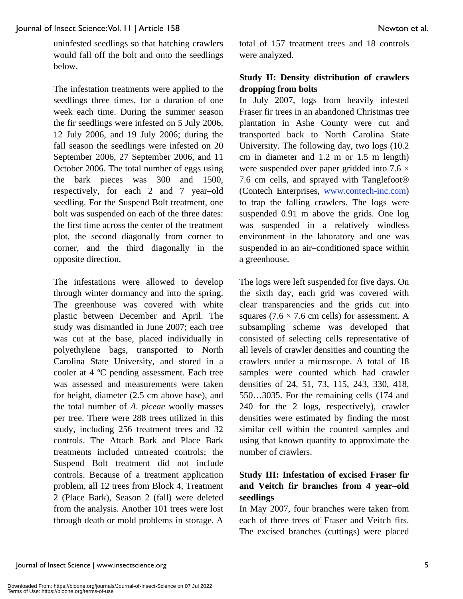uninfested seedlings so that hatching crawlers would fall off the bolt and onto the seedlings below.

The infestation treatments were applied to the seedlings three times, for a duration of one week each time. During the summer season the fir seedlings were infested on 5 July 2006, 12 July 2006, and 19 July 2006; during the fall season the seedlings were infested on 20 September 2006, 27 September 2006, and 11 October 2006. The total number of eggs using the bark pieces was 300 and 1500, respectively, for each 2 and 7 year–old seedling. For the Suspend Bolt treatment, one bolt was suspended on each of the three dates: the first time across the center of the treatment plot, the second diagonally from corner to corner, and the third diagonally in the opposite direction.

The infestations were allowed to develop through winter dormancy and into the spring. The greenhouse was covered with white plastic between December and April. The study was dismantled in June 2007; each tree was cut at the base, placed individually in polyethylene bags, transported to North Carolina State University, and stored in a cooler at 4 ºC pending assessment. Each tree was assessed and measurements were taken for height, diameter (2.5 cm above base), and the total number of *A. piceae* woolly masses per tree. There were 288 trees utilized in this study, including 256 treatment trees and 32 controls. The Attach Bark and Place Bark treatments included untreated controls; the Suspend Bolt treatment did not include controls. Because of a treatment application problem, all 12 trees from Block 4, Treatment 2 (Place Bark), Season 2 (fall) were deleted from the analysis. Another 101 trees were lost through death or mold problems in storage. A total of 157 treatment trees and 18 controls were analyzed.

## **Study II: Density distribution of crawlers dropping from bolts**

In July 2007, logs from heavily infested Fraser fir trees in an abandoned Christmas tree plantation in Ashe County were cut and transported back to North Carolina State University. The following day, two logs (10.2 cm in diameter and 1.2 m or 1.5 m length) were suspended over paper gridded into  $7.6 \times$ 7.6 cm cells, and sprayed with Tanglefoot® (Contech Enterprises, www.contech-inc.com) to trap the falling crawlers. The logs were suspended 0.91 m above the grids. One log was suspended in a relatively windless environment in the laboratory and one was suspended in an air–conditioned space within a greenhouse.

The logs were left suspended for five days. On the sixth day, each grid was covered with clear transparencies and the grids cut into squares (7.6  $\times$  7.6 cm cells) for assessment. A subsampling scheme was developed that consisted of selecting cells representative of all levels of crawler densities and counting the crawlers under a microscope. A total of 18 samples were counted which had crawler densities of 24, 51, 73, 115, 243, 330, 418, 550…3035. For the remaining cells (174 and 240 for the 2 logs, respectively), crawler densities were estimated by finding the most similar cell within the counted samples and using that known quantity to approximate the number of crawlers.

## **Study III: Infestation of excised Fraser fir and Veitch fir branches from 4 year–old seedlings**

In May 2007, four branches were taken from each of three trees of Fraser and Veitch firs. The excised branches (cuttings) were placed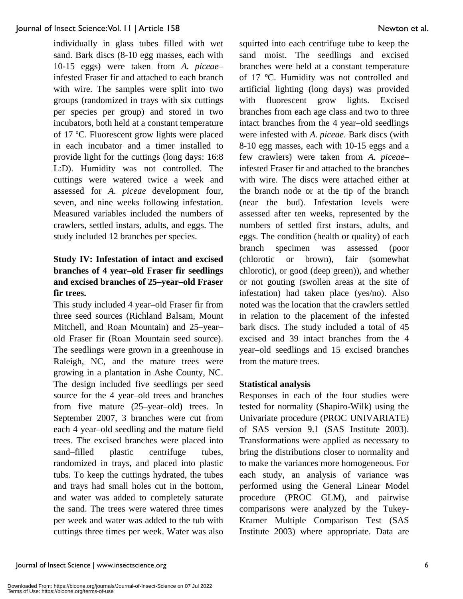individually in glass tubes filled with wet sand. Bark discs (8-10 egg masses, each with 10-15 eggs) were taken from *A. piceae*– infested Fraser fir and attached to each branch with wire. The samples were split into two groups (randomized in trays with six cuttings per species per group) and stored in two incubators, both held at a constant temperature of 17 ºC. Fluorescent grow lights were placed in each incubator and a timer installed to provide light for the cuttings (long days: 16:8 L:D). Humidity was not controlled. The cuttings were watered twice a week and assessed for *A. piceae* development four, seven, and nine weeks following infestation. Measured variables included the numbers of crawlers, settled instars, adults, and eggs. The study included 12 branches per species.

## **Study IV: Infestation of intact and excised branches of 4 year–old Fraser fir seedlings and excised branches of 25–year–old Fraser fir trees.**

This study included 4 year–old Fraser fir from three seed sources (Richland Balsam, Mount Mitchell, and Roan Mountain) and 25–year– old Fraser fir (Roan Mountain seed source). The seedlings were grown in a greenhouse in Raleigh, NC, and the mature trees were growing in a plantation in Ashe County, NC. The design included five seedlings per seed source for the 4 year–old trees and branches from five mature (25–year–old) trees. In September 2007, 3 branches were cut from each 4 year–old seedling and the mature field trees. The excised branches were placed into sand–filled plastic centrifuge tubes, randomized in trays, and placed into plastic tubs. To keep the cuttings hydrated, the tubes and trays had small holes cut in the bottom, and water was added to completely saturate the sand. The trees were watered three times per week and water was added to the tub with cuttings three times per week. Water was also squirted into each centrifuge tube to keep the sand moist. The seedlings and excised branches were held at a constant temperature of 17 ºC. Humidity was not controlled and artificial lighting (long days) was provided with fluorescent grow lights. Excised branches from each age class and two to three intact branches from the 4 year–old seedlings were infested with *A. piceae*. Bark discs (with 8-10 egg masses, each with 10-15 eggs and a few crawlers) were taken from *A. piceae*– infested Fraser fir and attached to the branches with wire. The discs were attached either at the branch node or at the tip of the branch (near the bud). Infestation levels were assessed after ten weeks, represented by the numbers of settled first instars, adults, and eggs. The condition (health or quality) of each branch specimen was assessed (poor (chlorotic or brown), fair (somewhat chlorotic), or good (deep green)), and whether or not gouting (swollen areas at the site of infestation) had taken place (yes/no). Also noted was the location that the crawlers settled in relation to the placement of the infested bark discs. The study included a total of 45 excised and 39 intact branches from the 4 year–old seedlings and 15 excised branches from the mature trees.

#### **Statistical analysis**

Responses in each of the four studies were tested for normality (Shapiro-Wilk) using the Univariate procedure (PROC UNIVARIATE) of SAS version 9.1 (SAS Institute 2003). Transformations were applied as necessary to bring the distributions closer to normality and to make the variances more homogeneous. For each study, an analysis of variance was performed using the General Linear Model procedure (PROC GLM), and pairwise comparisons were analyzed by the Tukey-Kramer Multiple Comparison Test (SAS Institute 2003) where appropriate. Data are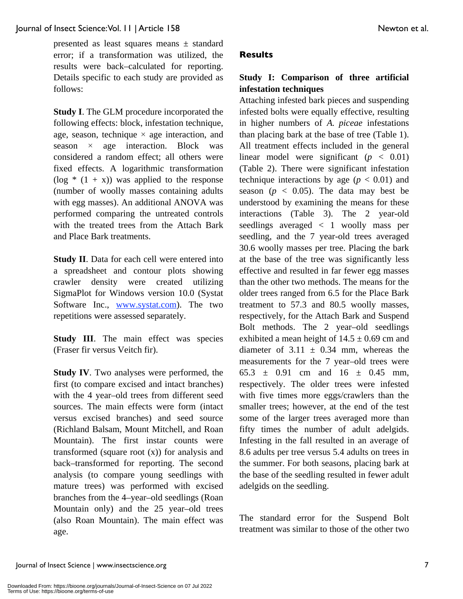presented as least squares means ± standard error; if a transformation was utilized, the results were back–calculated for reporting. Details specific to each study are provided as follows:

**Study I**. The GLM procedure incorporated the following effects: block, infestation technique, age, season, technique  $\times$  age interaction, and season  $\times$  age interaction. Block was considered a random effect; all others were fixed effects. A logarithmic transformation  $(\log * (1 + x))$  was applied to the response (number of woolly masses containing adults with egg masses). An additional ANOVA was performed comparing the untreated controls with the treated trees from the Attach Bark and Place Bark treatments.

**Study II**. Data for each cell were entered into a spreadsheet and contour plots showing crawler density were created utilizing SigmaPlot for Windows version 10.0 (Systat Software Inc., www.systat.com). The two repetitions were assessed separately.

**Study III**. The main effect was species (Fraser fir versus Veitch fir).

**Study IV**. Two analyses were performed, the first (to compare excised and intact branches) with the 4 year–old trees from different seed sources. The main effects were form (intact versus excised branches) and seed source (Richland Balsam, Mount Mitchell, and Roan Mountain). The first instar counts were transformed (square root (x)) for analysis and back–transformed for reporting. The second analysis (to compare young seedlings with mature trees) was performed with excised branches from the 4–year–old seedlings (Roan Mountain only) and the 25 year–old trees (also Roan Mountain). The main effect was age.

## **Results**

## **Study I: Comparison of three artificial infestation techniques**

Attaching infested bark pieces and suspending infested bolts were equally effective, resulting in higher numbers of *A. piceae* infestations than placing bark at the base of tree (Table 1). All treatment effects included in the general linear model were significant  $(p < 0.01)$ (Table 2). There were significant infestation technique interactions by age  $(p < 0.01)$  and season ( $p < 0.05$ ). The data may best be understood by examining the means for these interactions (Table 3). The 2 year-old seedlings averaged < 1 woolly mass per seedling, and the 7 year-old trees averaged 30.6 woolly masses per tree. Placing the bark at the base of the tree was significantly less effective and resulted in far fewer egg masses than the other two methods. The means for the older trees ranged from 6.5 for the Place Bark treatment to 57.3 and 80.5 woolly masses, respectively, for the Attach Bark and Suspend Bolt methods. The 2 year–old seedlings exhibited a mean height of  $14.5 \pm 0.69$  cm and diameter of  $3.11 \pm 0.34$  mm, whereas the measurements for the 7 year–old trees were 65.3  $\pm$  0.91 cm and 16  $\pm$  0.45 mm, respectively. The older trees were infested with five times more eggs/crawlers than the smaller trees; however, at the end of the test some of the larger trees averaged more than fifty times the number of adult adelgids. Infesting in the fall resulted in an average of 8.6 adults per tree versus 5.4 adults on trees in the summer. For both seasons, placing bark at the base of the seedling resulted in fewer adult adelgids on the seedling.

The standard error for the Suspend Bolt treatment was similar to those of the other two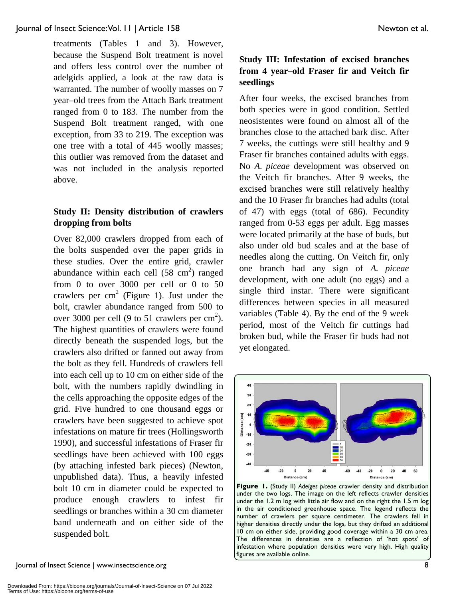treatments (Tables 1 and 3). However, because the Suspend Bolt treatment is novel and offers less control over the number of adelgids applied, a look at the raw data is warranted. The number of woolly masses on 7 year–old trees from the Attach Bark treatment ranged from 0 to 183. The number from the Suspend Bolt treatment ranged, with one exception, from 33 to 219. The exception was one tree with a total of 445 woolly masses; this outlier was removed from the dataset and was not included in the analysis reported above.

#### **Study II: Density distribution of crawlers dropping from bolts**

Over 82,000 crawlers dropped from each of the bolts suspended over the paper grids in these studies. Over the entire grid, crawler abundance within each cell  $(58 \text{ cm}^2)$  ranged from 0 to over 3000 per cell or 0 to 50 crawlers per  $cm<sup>2</sup>$  (Figure 1). Just under the bolt, crawler abundance ranged from 500 to over 3000 per cell (9 to 51 crawlers per  $\text{cm}^2$ ). The highest quantities of crawlers were found directly beneath the suspended logs, but the crawlers also drifted or fanned out away from the bolt as they fell. Hundreds of crawlers fell into each cell up to 10 cm on either side of the bolt, with the numbers rapidly dwindling in the cells approaching the opposite edges of the grid. Five hundred to one thousand eggs or crawlers have been suggested to achieve spot infestations on mature fir trees (Hollingsworth 1990), and successful infestations of Fraser fir seedlings have been achieved with 100 eggs (by attaching infested bark pieces) (Newton, unpublished data). Thus, a heavily infested bolt 10 cm in diameter could be expected to produce enough crawlers to infest fir seedlings or branches within a 30 cm diameter band underneath and on either side of the suspended bolt.

Journal of Insect Science | www.insectscience.org 8

## **Study III: Infestation of excised branches from 4 year–old Fraser fir and Veitch fir seedlings**

After four weeks, the excised branches from both species were in good condition. Settled neosistentes were found on almost all of the branches close to the attached bark disc. After 7 weeks, the cuttings were still healthy and 9 Fraser fir branches contained adults with eggs. No *A. piceae* development was observed on the Veitch fir branches. After 9 weeks, the excised branches were still relatively healthy and the 10 Fraser fir branches had adults (total of 47) with eggs (total of 686). Fecundity ranged from 0-53 eggs per adult. Egg masses were located primarily at the base of buds, but also under old bud scales and at the base of needles along the cutting. On Veitch fir, only one branch had any sign of *A. piceae* development, with one adult (no eggs) and a single third instar. There were significant differences between species in all measured variables (Table 4). By the end of the 9 week period, most of the Veitch fir cuttings had broken bud, while the Fraser fir buds had not yet elongated.



**Figure 1.** (Study II) *Adelges piceae* crawler density and distribution under the two logs. The image on the left reflects crawler densities under the 1.2 m log with little air flow and on the right the 1.5 m log in the air conditioned greenhouse space. The legend reflects the number of crawlers per square centimeter. The crawlers fell in higher densities directly under the logs, but they drifted an additional 10 cm on either side, providing good coverage within a 30 cm area. The differences in densities are a reflection of 'hot spots' of infestation where population densities were very high. High quality figures are available online.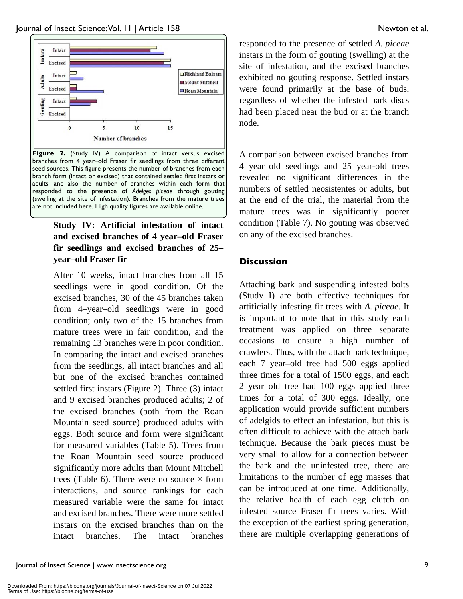

Figure 2. (Study IV) A comparison of intact versus excised branches from 4 year–old Fraser fir seedlings from three different seed sources. This figure presents the number of branches from each branch form (intact or excised) that contained settled first instars or adults, and also the number of branches within each form that responded to the presence of *Adelges piceae* through gouting (swelling at the site of infestation). Branches from the mature trees are not included here. High quality figures are available online.

## **Study IV: Artificial infestation of intact and excised branches of 4 year–old Fraser fir seedlings and excised branches of 25– year–old Fraser fir**

After 10 weeks, intact branches from all 15 seedlings were in good condition. Of the excised branches, 30 of the 45 branches taken from 4–year–old seedlings were in good condition; only two of the 15 branches from mature trees were in fair condition, and the remaining 13 branches were in poor condition. In comparing the intact and excised branches from the seedlings, all intact branches and all but one of the excised branches contained settled first instars (Figure 2). Three (3) intact and 9 excised branches produced adults; 2 of the excised branches (both from the Roan Mountain seed source) produced adults with eggs. Both source and form were significant for measured variables (Table 5). Trees from the Roan Mountain seed source produced significantly more adults than Mount Mitchell trees (Table 6). There were no source  $\times$  form interactions, and source rankings for each measured variable were the same for intact and excised branches. There were more settled instars on the excised branches than on the intact branches. The intact branches

responded to the presence of settled *A. piceae* instars in the form of gouting (swelling) at the site of infestation, and the excised branches exhibited no gouting response. Settled instars were found primarily at the base of buds, regardless of whether the infested bark discs had been placed near the bud or at the branch node.

A comparison between excised branches from 4 year–old seedlings and 25 year-old trees revealed no significant differences in the numbers of settled neosistentes or adults, but at the end of the trial, the material from the mature trees was in significantly poorer condition (Table 7). No gouting was observed on any of the excised branches.

## **Discussion**

Attaching bark and suspending infested bolts (Study I) are both effective techniques for artificially infesting fir trees with *A. piceae*. It is important to note that in this study each treatment was applied on three separate occasions to ensure a high number of crawlers. Thus, with the attach bark technique, each 7 year–old tree had 500 eggs applied three times for a total of 1500 eggs, and each 2 year–old tree had 100 eggs applied three times for a total of 300 eggs. Ideally, one application would provide sufficient numbers of adelgids to effect an infestation, but this is often difficult to achieve with the attach bark technique. Because the bark pieces must be very small to allow for a connection between the bark and the uninfested tree, there are limitations to the number of egg masses that can be introduced at one time. Additionally, the relative health of each egg clutch on infested source Fraser fir trees varies. With the exception of the earliest spring generation, there are multiple overlapping generations of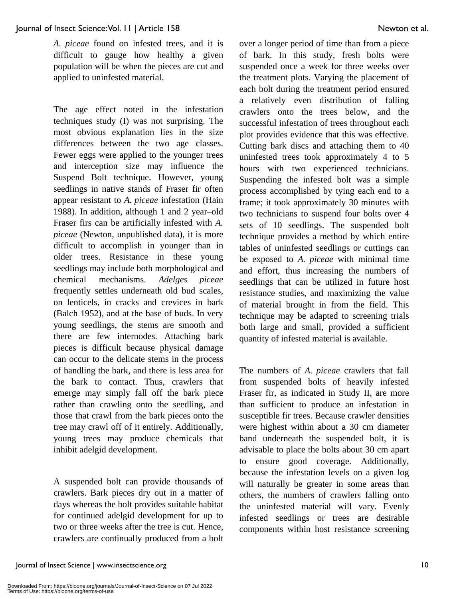*A. piceae* found on infested trees, and it is difficult to gauge how healthy a given population will be when the pieces are cut and applied to uninfested material.

The age effect noted in the infestation techniques study (I) was not surprising. The most obvious explanation lies in the size differences between the two age classes. Fewer eggs were applied to the younger trees and interception size may influence the Suspend Bolt technique. However, young seedlings in native stands of Fraser fir often appear resistant to *A. piceae* infestation (Hain 1988). In addition, although 1 and 2 year–old Fraser firs can be artificially infested with *A. piceae* (Newton, unpublished data), it is more difficult to accomplish in younger than in older trees. Resistance in these young seedlings may include both morphological and chemical mechanisms. *Adelges piceae* frequently settles underneath old bud scales, on lenticels, in cracks and crevices in bark (Balch 1952), and at the base of buds. In very young seedlings, the stems are smooth and there are few internodes. Attaching bark pieces is difficult because physical damage can occur to the delicate stems in the process of handling the bark, and there is less area for the bark to contact. Thus, crawlers that emerge may simply fall off the bark piece rather than crawling onto the seedling, and those that crawl from the bark pieces onto the tree may crawl off of it entirely. Additionally, young trees may produce chemicals that inhibit adelgid development.

A suspended bolt can provide thousands of crawlers. Bark pieces dry out in a matter of days whereas the bolt provides suitable habitat for continued adelgid development for up to two or three weeks after the tree is cut. Hence, crawlers are continually produced from a bolt over a longer period of time than from a piece of bark. In this study, fresh bolts were suspended once a week for three weeks over the treatment plots. Varying the placement of each bolt during the treatment period ensured a relatively even distribution of falling crawlers onto the trees below, and the successful infestation of trees throughout each plot provides evidence that this was effective. Cutting bark discs and attaching them to 40 uninfested trees took approximately 4 to 5 hours with two experienced technicians. Suspending the infested bolt was a simple process accomplished by tying each end to a frame; it took approximately 30 minutes with two technicians to suspend four bolts over 4 sets of 10 seedlings. The suspended bolt technique provides a method by which entire tables of uninfested seedlings or cuttings can be exposed to *A. piceae* with minimal time and effort, thus increasing the numbers of seedlings that can be utilized in future host resistance studies, and maximizing the value of material brought in from the field. This technique may be adapted to screening trials both large and small, provided a sufficient quantity of infested material is available.

The numbers of *A. piceae* crawlers that fall from suspended bolts of heavily infested Fraser fir, as indicated in Study II, are more than sufficient to produce an infestation in susceptible fir trees. Because crawler densities were highest within about a 30 cm diameter band underneath the suspended bolt, it is advisable to place the bolts about 30 cm apart to ensure good coverage. Additionally, because the infestation levels on a given log will naturally be greater in some areas than others, the numbers of crawlers falling onto the uninfested material will vary. Evenly infested seedlings or trees are desirable components within host resistance screening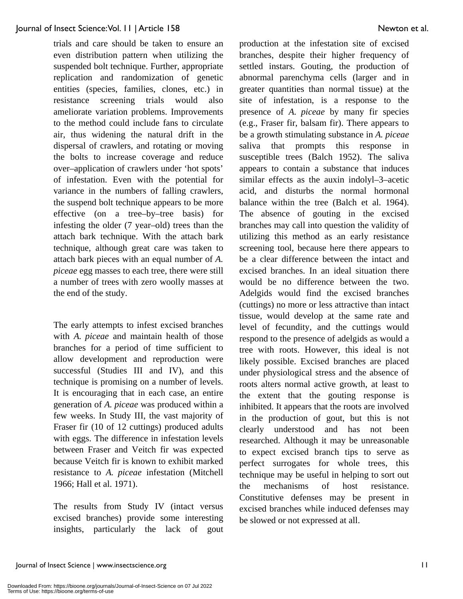trials and care should be taken to ensure an even distribution pattern when utilizing the suspended bolt technique. Further, appropriate replication and randomization of genetic entities (species, families, clones, etc.) in resistance screening trials would also ameliorate variation problems. Improvements to the method could include fans to circulate air, thus widening the natural drift in the dispersal of crawlers, and rotating or moving the bolts to increase coverage and reduce over–application of crawlers under 'hot spots' of infestation. Even with the potential for variance in the numbers of falling crawlers, the suspend bolt technique appears to be more effective (on a tree–by–tree basis) for infesting the older (7 year–old) trees than the attach bark technique. With the attach bark technique, although great care was taken to attach bark pieces with an equal number of *A. piceae* egg masses to each tree, there were still a number of trees with zero woolly masses at the end of the study.

The early attempts to infest excised branches with *A. piceae* and maintain health of those branches for a period of time sufficient to allow development and reproduction were successful (Studies III and IV), and this technique is promising on a number of levels. It is encouraging that in each case, an entire generation of *A. piceae* was produced within a few weeks. In Study III, the vast majority of Fraser fir (10 of 12 cuttings) produced adults with eggs. The difference in infestation levels between Fraser and Veitch fir was expected because Veitch fir is known to exhibit marked resistance to *A. piceae* infestation (Mitchell 1966; Hall et al. 1971).

The results from Study IV (intact versus excised branches) provide some interesting insights, particularly the lack of gout production at the infestation site of excised branches, despite their higher frequency of settled instars. Gouting, the production of abnormal parenchyma cells (larger and in greater quantities than normal tissue) at the site of infestation, is a response to the presence of *A. piceae* by many fir species (e.g., Fraser fir, balsam fir). There appears to be a growth stimulating substance in *A. piceae* saliva that prompts this response in susceptible trees (Balch 1952). The saliva appears to contain a substance that induces similar effects as the auxin indolyl–3–acetic acid, and disturbs the normal hormonal balance within the tree (Balch et al. 1964). The absence of gouting in the excised branches may call into question the validity of utilizing this method as an early resistance screening tool, because here there appears to be a clear difference between the intact and excised branches. In an ideal situation there would be no difference between the two. Adelgids would find the excised branches (cuttings) no more or less attractive than intact tissue, would develop at the same rate and level of fecundity, and the cuttings would respond to the presence of adelgids as would a tree with roots. However, this ideal is not likely possible. Excised branches are placed under physiological stress and the absence of roots alters normal active growth, at least to the extent that the gouting response is inhibited. It appears that the roots are involved in the production of gout, but this is not clearly understood and has not been researched. Although it may be unreasonable to expect excised branch tips to serve as perfect surrogates for whole trees, this technique may be useful in helping to sort out the mechanisms of host resistance. Constitutive defenses may be present in excised branches while induced defenses may be slowed or not expressed at all.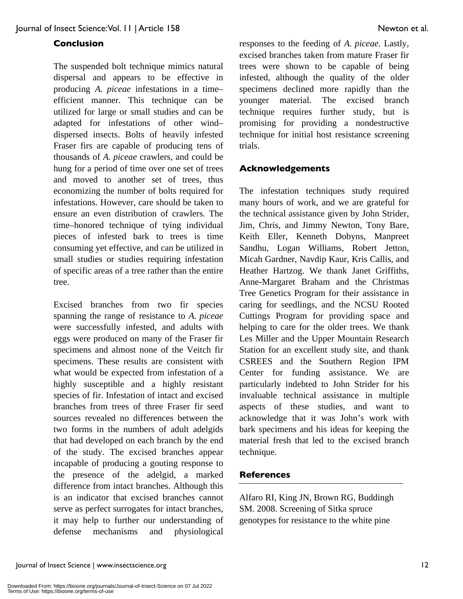## **Conclusion**

The suspended bolt technique mimics natural dispersal and appears to be effective in producing *A. piceae* infestations in a time– efficient manner. This technique can be utilized for large or small studies and can be adapted for infestations of other wind– dispersed insects. Bolts of heavily infested Fraser firs are capable of producing tens of thousands of *A. piceae* crawlers, and could be hung for a period of time over one set of trees and moved to another set of trees, thus economizing the number of bolts required for infestations. However, care should be taken to ensure an even distribution of crawlers. The time–honored technique of tying individual pieces of infested bark to trees is time consuming yet effective, and can be utilized in small studies or studies requiring infestation of specific areas of a tree rather than the entire tree.

Excised branches from two fir species spanning the range of resistance to *A. piceae* were successfully infested, and adults with eggs were produced on many of the Fraser fir specimens and almost none of the Veitch fir specimens. These results are consistent with what would be expected from infestation of a highly susceptible and a highly resistant species of fir. Infestation of intact and excised branches from trees of three Fraser fir seed sources revealed no differences between the two forms in the numbers of adult adelgids that had developed on each branch by the end of the study. The excised branches appear incapable of producing a gouting response to the presence of the adelgid, a marked difference from intact branches. Although this is an indicator that excised branches cannot serve as perfect surrogates for intact branches, it may help to further our understanding of defense mechanisms and physiological responses to the feeding of *A. piceae*. Lastly, excised branches taken from mature Fraser fir trees were shown to be capable of being infested, although the quality of the older specimens declined more rapidly than the younger material. The excised branch technique requires further study, but is promising for providing a nondestructive technique for initial host resistance screening trials.

#### **Acknowledgements**

The infestation techniques study required many hours of work, and we are grateful for the technical assistance given by John Strider, Jim, Chris, and Jimmy Newton, Tony Bare, Keith Eller, Kenneth Dobyns, Manpreet Sandhu, Logan Williams, Robert Jetton, Micah Gardner, Navdip Kaur, Kris Callis, and Heather Hartzog. We thank Janet Griffiths, Anne-Margaret Braham and the Christmas Tree Genetics Program for their assistance in caring for seedlings, and the NCSU Rooted Cuttings Program for providing space and helping to care for the older trees. We thank Les Miller and the Upper Mountain Research Station for an excellent study site, and thank CSREES and the Southern Region IPM Center for funding assistance. We are particularly indebted to John Strider for his invaluable technical assistance in multiple aspects of these studies, and want to acknowledge that it was John's work with bark specimens and his ideas for keeping the material fresh that led to the excised branch technique.

## **References**

Alfaro RI, King JN, Brown RG, Buddingh SM. 2008. Screening of Sitka spruce genotypes for resistance to the white pine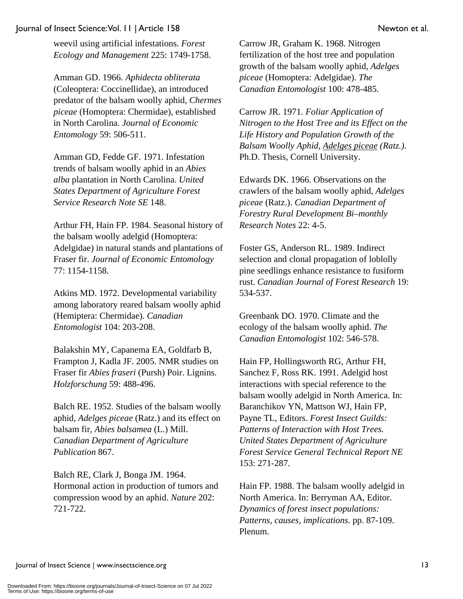weevil using artificial infestations. *Forest Ecology and Management* 225: 1749-1758.

Amman GD. 1966. *Aphidecta obliterata*  (Coleoptera: Coccinellidae), an introduced predator of the balsam woolly aphid, *Chermes piceae* (Homoptera: Chermidae), established in North Carolina. *Journal of Economic Entomology* 59: 506-511.

Amman GD, Fedde GF. 1971. Infestation trends of balsam woolly aphid in an *Abies alba* plantation in North Carolina. *United States Department of Agriculture Forest Service Research Note SE* 148.

Arthur FH, Hain FP. 1984. Seasonal history of the balsam woolly adelgid (Homoptera: Adelgidae) in natural stands and plantations of Fraser fir. *Journal of Economic Entomology* 77: 1154-1158.

Atkins MD. 1972. Developmental variability among laboratory reared balsam woolly aphid (Hemiptera: Chermidae). *Canadian Entomologist* 104: 203-208.

Balakshin MY, Capanema EA, Goldfarb B, Frampton J, Kadla JF. 2005. NMR studies on Fraser fir *Abies fraseri* (Pursh) Poir. Lignins. *Holzforschung* 59: 488-496.

Balch RE. 1952. Studies of the balsam woolly aphid, *Adelges piceae* (Ratz.) and its effect on balsam fir, *Abies balsamea* (L.) Mill. *Canadian Department of Agriculture Publication* 867.

Balch RE, Clark J, Bonga JM. 1964. Hormonal action in production of tumors and compression wood by an aphid. *Nature* 202: 721-722.

Carrow JR, Graham K. 1968. Nitrogen fertilization of the host tree and population growth of the balsam woolly aphid, *Adelges piceae* (Homoptera: Adelgidae). *The Canadian Entomologist* 100: 478-485.

Carrow JR. 1971. *Foliar Application of Nitrogen to the Host Tree and its Effect on the Life History and Population Growth of the Balsam Woolly Aphid, Adelges piceae (Ratz.)*. Ph.D. Thesis, Cornell University.

Edwards DK. 1966. Observations on the crawlers of the balsam woolly aphid, *Adelges piceae* (Ratz.). *Canadian Department of Forestry Rural Development Bi–monthly Research Notes* 22: 4-5.

Foster GS, Anderson RL. 1989. Indirect selection and clonal propagation of loblolly pine seedlings enhance resistance to fusiform rust. *Canadian Journal of Forest Research* 19: 534-537.

Greenbank DO. 1970. Climate and the ecology of the balsam woolly aphid. *The Canadian Entomologist* 102: 546-578.

Hain FP, Hollingsworth RG, Arthur FH, Sanchez F, Ross RK. 1991. Adelgid host interactions with special reference to the balsam woolly adelgid in North America. In: Baranchikov YN, Mattson WJ, Hain FP, Payne TL, Editors. *Forest Insect Guilds: Patterns of Interaction with Host Trees. United States Department of Agriculture Forest Service General Technical Report NE*  153: 271-287.

Hain FP. 1988. The balsam woolly adelgid in North America. In: Berryman AA, Editor. *Dynamics of forest insect populations: Patterns, causes, implications*. pp. 87-109. Plenum.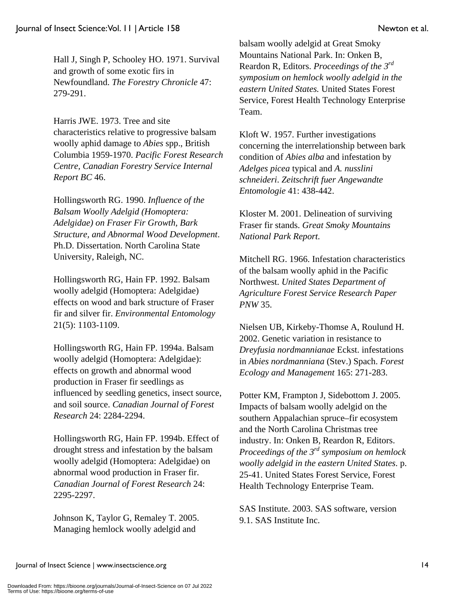Hall J, Singh P, Schooley HO. 1971. Survival and growth of some exotic firs in Newfoundland. *The Forestry Chronicle* 47: 279-291.

Harris JWE. 1973. Tree and site characteristics relative to progressive balsam woolly aphid damage to *Abies* spp., British Columbia 1959-1970. *Pacific Forest Research Centre, Canadian Forestry Service Internal Report BC* 46.

Hollingsworth RG. 1990. *Influence of the Balsam Woolly Adelgid (Homoptera: Adelgidae) on Fraser Fir Growth, Bark Structure, and Abnormal Wood Development*. Ph.D. Dissertation. North Carolina State University, Raleigh, NC.

Hollingsworth RG, Hain FP. 1992. Balsam woolly adelgid (Homoptera: Adelgidae) effects on wood and bark structure of Fraser fir and silver fir. *Environmental Entomology* 21(5): 1103-1109.

Hollingsworth RG, Hain FP. 1994a. Balsam woolly adelgid (Homoptera: Adelgidae): effects on growth and abnormal wood production in Fraser fir seedlings as influenced by seedling genetics, insect source, and soil source. *Canadian Journal of Forest Research* 24: 2284-2294.

Hollingsworth RG, Hain FP. 1994b. Effect of drought stress and infestation by the balsam woolly adelgid (Homoptera: Adelgidae) on abnormal wood production in Fraser fir. *Canadian Journal of Forest Research* 24: 2295-2297.

Johnson K, Taylor G, Remaley T. 2005. Managing hemlock woolly adelgid and

balsam woolly adelgid at Great Smoky Mountains National Park. In: Onken B, Reardon R, Editors. *Proceedings of the 3rd symposium on hemlock woolly adelgid in the eastern United States.* United States Forest Service, Forest Health Technology Enterprise Team.

Kloft W. 1957. Further investigations concerning the interrelationship between bark condition of *Abies alba* and infestation by *Adelges picea* typical and *A. nusslini schneideri*. *Zeitschrift fuer Angewandte Entomologie* 41: 438-442.

Kloster M. 2001. Delineation of surviving Fraser fir stands. *Great Smoky Mountains National Park Report.*

Mitchell RG. 1966. Infestation characteristics of the balsam woolly aphid in the Pacific Northwest. *United States Department of Agriculture Forest Service Research Paper PNW* 35.

Nielsen UB, Kirkeby-Thomse A, Roulund H. 2002. Genetic variation in resistance to *Dreyfusia nordmannianae* Eckst. infestations in *Abies nordmanniana* (Stev.) Spach. *Forest Ecology and Management* 165: 271-283.

Potter KM, Frampton J, Sidebottom J. 2005. Impacts of balsam woolly adelgid on the southern Appalachian spruce–fir ecosystem and the North Carolina Christmas tree industry. In: Onken B, Reardon R, Editors. *Proceedings of the 3rd symposium on hemlock woolly adelgid in the eastern United States*. p. 25-41. United States Forest Service, Forest Health Technology Enterprise Team.

SAS Institute. 2003. SAS software, version 9.1. SAS Institute Inc.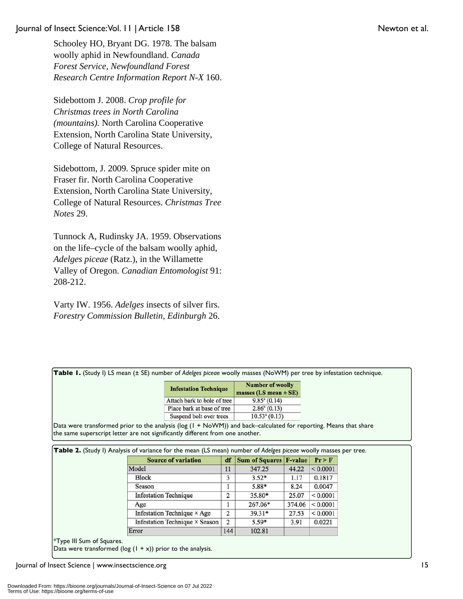Schooley HO, Bryant DG. 1978. The balsam woolly aphid in Newfoundland. *Canada Forest Service, Newfoundland Forest Research Centre Information Report N-X* 160.

Sidebottom J. 2008. *Crop profile for Christmas trees in North Carolina (mountains).* North Carolina Cooperative Extension, North Carolina State University, College of Natural Resources.

Sidebottom, J. 2009. Spruce spider mite on Fraser fir. North Carolina Cooperative Extension, North Carolina State University, College of Natural Resources. *Christmas Tree Notes* 29.

Tunnock A, Rudinsky JA. 1959. Observations on the life–cycle of the balsam woolly aphid, *Adelges piceae* (Ratz.), in the Willamette Valley of Oregon. *Canadian Entomologist* 91: 208-212.

Varty IW. 1956. *Adelges* insects of silver firs. *Forestry Commission Bulletin, Edinburgh* 26.

**Table 1.** (Study I) LS mean (± SE) number of *Adelges piceae* woolly masses (NoWM) per tree by infestation technique.

| <b>Infestation Technique</b> | <b>Number of woolly</b><br>masses $(LS$ mean $\pm SE$ ) |  |  |
|------------------------------|---------------------------------------------------------|--|--|
| Attach bark to bole of tree  | $9.85^{\circ}$ (0.14)                                   |  |  |
| Place bark at base of tree   | $2.86^{\circ}$ (0.13)                                   |  |  |
| Suspend bolt over trees      | $10.53a$ (0.13)                                         |  |  |

Data were transformed prior to the analysis (log (1 + NoWM)) and back–calculated for reporting. Means that share the same superscript letter are not significantly different from one another.

| <b>Source of variation</b>         | df  | Sum of Squares F-value |        | Pr > F   |
|------------------------------------|-----|------------------------|--------|----------|
| Model                              | 11  | 347.25                 | 44.22  | < 0.0001 |
| <b>Block</b>                       | 3   | $3.52*$                | 1.17   | 0.1817   |
| Season                             |     | 5.88*                  | 8.24   | 0.0047   |
| <b>Infestation Technique</b>       | 2   | 35.80*                 | 25.07  | < 0.0001 |
| Age                                |     | 267.06*                | 374.06 | < 0.0001 |
| Infestation Technique $\times$ Age | 2   | $39.31*$               | 27.53  | < 0.0001 |
| Infestation Technique × Season     | 2   | $5.59*$                | 3.91   | 0.0221   |
| Error                              | 144 | 102.81                 |        |          |